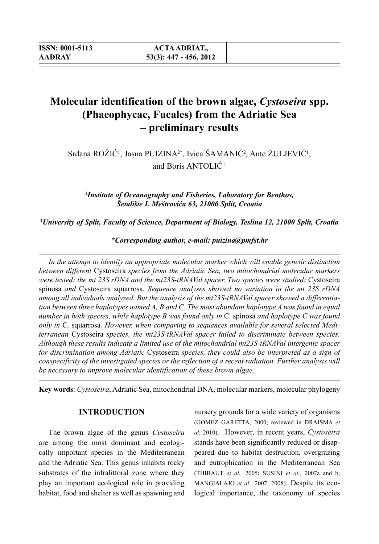# **Molecular identification of the brown algae,** *Cystoseira* **spp. (Phaeophycae, Fucales) from the Adriatic Sea – preliminary results**

Srđana ROŽIĆ<sup>1</sup>, Jasna PUIZINA<sup>2\*</sup>, Ivica ŠAMANIĆ<sup>2</sup>, Ante ŽULJEVIĆ<sup>1</sup>, and Boris ANTOLIC<sup>1</sup>

**1** *Institute of Oceanography and Fisheries, Laboratory for Benthos, Šetalište I. Meštrovića 63, 21000 Split, Croatia*

**2** *University of Split, Faculty of Science, Department of Biology, Teslina 12, 21000 Split, Croatia*

*\*Corresponding author, e-mail: puizina@pmfst.hr*

*In the attempt to identify an appropriate molecular marker which will enable genetic distinction between different* Cystoseira *species from the Adriatic Sea, two mitochondrial molecular markers were tested: the mt 23S rDNA and the mt23S-tRNAVal spacer. Two species were studied:* Cystoseira spinosa *and* Cystoseira squarrosa. *Sequence analyses showed no variation in the mt 23S rDNA among all individuals analyzed. But the analysis of the mt23S-tRNAVal spacer showed a differentiation between three haplotypes named A, B and C. The most abundant haplotype A was found in equal number in both species, while haplotype B was found only in* C. spinosa *and haplotype C was found only in* C. squarrosa*. However, when comparing to sequences available for several selected Mediterranean* Cystoseira *species, the mt23S-tRNAVal spacer failed to discriminate between species. Although these results indicate a limited use of the mitochondrial mt23S-tRNAVal intergenic spacer for discrimination among Adriatic* Cystoseira *species, they could also be interpreted as a sign of conspecificity of the investigated species or the reflection of a recent radiation. Further analysis will be necessary to improve molecular identification of these brown algae.*

**Key words**: *Cystoseira*, Adriatic Sea, mitochondrial DNA, molecular markers, molecular phylogeny

### **INTRODUCTION**

The brown algae of the genus *Cystoseira* are among the most dominant and ecologically important species in the Mediterranean and the Adriatic Sea. This genus inhabits rocky substrates of the infralittoral zone where they play an important ecological role in providing habitat, food and shelter as well as spawning and nursery grounds for a wide variety of organisms (GOMEZ GARETTA, 2000; reviewed in DRAISMA *et al.* 2010). However, in recent years, *Cystoseira* stands have been significantly reduced or disappeared due to habitat destruction, overgrazing and eutrophication in the Mediterranean Sea (THIBAUT *et al.,* 2005; SUSINI *et al.,* 2007a and b; MANGIALAJO *et al.,* 2007, 2008). Despite its ecological importance, the taxonomy of species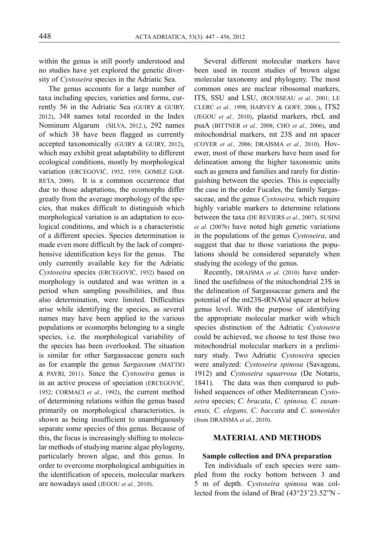within the genus is still poorly understood and no studies have yet explored the genetic diversity of *Cystoseira* species in the Adriatic Sea.

The genus accounts for a large number of taxa including species, varieties and forms, currently 56 in the Adriatic Sea (GUIRY & GUIRY, 2012), 348 names total recorded in the Index Nominum Algarum (SILVA, 2012.), 292 names of which 38 have been flagged as currently accepted taxonomically (GUIRY & GUIRY, 2012), which may exhibit great adaptability to different ecological conditions, mostly by morphological variation (ERCEGOVIĆ, 1952, 1959; GOMEZ GAR-RETA, 2000). It is a common occurrence that due to those adaptations, the ecomorphs differ greatly from the average morphology of the species, that makes difficult to distinguish which morphological variation is an adaptation to ecological conditions, and which is a characteristic of a different species. Species determination is made even more difficult by the lack of comprehensive identification keys for the genus. The only currently available key for the Adriatic *Cystoseira* species (ERCEGOVIĆ, 1952) based on morphology is outdated and was written in a period when sampling possibilities, and thus also determination, were limited. Difficulties arise while identifying the species, as several names may have been applied to the various populations or ecomorphs belonging to a single species, i.e. the morphological variability of the species has been overlooked. The situation is similar for other Sargassaceae genera such as for example the genus *Sargassum* (MATTIO & PAYRI, 2011). Since the *Cystoseira* genus is in an active process of speciation (ERCEGOVIĆ, 1952; CORMACI *et al.*, 1992), the current method of determining relations within the genus based primarily on morphological characteristics, is shown as being insufficient to unambiguously separate some species of this genus. Because of this, the focus is increasingly shifting to molecular methods of studying marine algae phylogeny, particularly brown algae, and this genus. In order to overcome morphological ambiguities in the identification of speceis, molecular markers are nowadays used (JEGOU *et al.,* 2010).

Several different molecular markers have been used in recent studies of brown algae molecular taxonomy and phylogeny. The most common ones are nuclear ribosomal markers, ITS, SSU and LSU, (ROUSSEAU *et al.,* 2001; LE CLERC *et al.,* 1998; HARVEY & GOFF, 2006.), ITS2 (JEGOU *et al.,* 2010), plastid markers, rbcL and psaA (BITTNER *et al.,* 2008; CHO *et al.,* 2006), and mitochondrial markers, mt 23S and mt spacer (COYER *et al.,* 2006; DRAISMA *et al.,* 2010). Hovewer, most of these markers have been used for delineation among the higher taxonomic units such as genera and families and rarely for distinguishing between the species. This is especially the case in the order Fucales, the family Sargassaceae, and the genus *Cystoseira,* which require highly variable markers to determine relations between the taxa (DE REVIERS *et al*., 2007). SUSINI *et al*. (2007b) have noted high genetic variations in the populations of the genus *Cystoseira*, and suggest that due to those variations the populations should be considered separately when studying the ecology of the genus.

Recently, DRAISMA *et al*. (2010) have underlined the usefulness of the mitochondrial 23S in the delineation of Sargassaceae genera and the potential of the mt23S-tRNAVal spacer at below genus level. With the purpose of identifying the appropriate molecular marker with which species distinction of the Adriatic *Cystoseira* could be achieved, we choose to test those two mitochondrial molecular markers in a preliminary study. Two Adriatic *Cystoseira* species were analyzed: *Cystoseira spinosa* (Savageau, 1912) and *Cystoseira squarrosa* (De Notaris, 1841). The data was then compared to published sequences of other Mediterranean *Cystoseira* species; *C. bracata*, *C. spinosa, C. susanensis, C. elegans, C. baccata* and *C. usneoides*  (from DRAISMA *et al*., 2010).

### **MATERIAL AND METHODS**

#### **Sample collection and DNA preparation**

Ten individuals of each species were sampled from the rocky bottom between 3 and 5 m of depth. C*ystoseira spinosa* was collected from the island of Brač (43°23'23.52"N -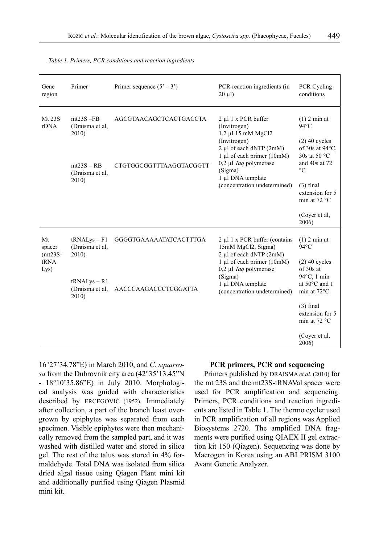| Gene<br>region                            | Primer                                     | Primer sequence $(5' - 3')$    | PCR reaction ingredients (in<br>$20 \mu l$                                                                                                                                                                                     | PCR Cycling<br>conditions                                                              |
|-------------------------------------------|--------------------------------------------|--------------------------------|--------------------------------------------------------------------------------------------------------------------------------------------------------------------------------------------------------------------------------|----------------------------------------------------------------------------------------|
| Mt 23S<br>rDNA                            | $mt23S - FB$<br>(Draisma et al,<br>2010)   | AGCGTAACAGCTCACTGACCTA         | $2 \mu 1$ x PCR buffer<br>(Invitrogen)<br>1.2 µl 15 mM MgCl2<br>(Invitrogen)<br>2 µl of each dNTP (2mM)<br>1 μl of each primer (10mM)<br>0,2 µl Taq polymerase<br>(Sigma)<br>1 µl DNA template<br>(concentration undetermined) | $(1)$ 2 min at<br>$94^{\circ}$ C<br>$(2)$ 40 cycles<br>of 30s at 94°C,<br>30s at 50 °C |
|                                           | $mt23S - RB$<br>(Draisma et al.)<br>2010)  | CTGTGGCGGTTTAAGGTACGGTT        |                                                                                                                                                                                                                                | and $40s$ at $72$<br>$\rm ^{\circ}C$<br>$(3)$ final                                    |
|                                           |                                            |                                |                                                                                                                                                                                                                                | extension for 5<br>min at $72 °C$                                                      |
|                                           |                                            |                                |                                                                                                                                                                                                                                | (Cover et al.<br>2006)                                                                 |
| Mt<br>spacer<br>$(mt23S-$<br>tRNA<br>Lys) | $tRNALvs - F1$<br>(Draisma et al,<br>2010) | <b>GGGGTGAAAAAATATCACTTTGA</b> | $2 \mu$ l 1 x PCR buffer (contains<br>15mM MgCl2, Sigma)<br>2 µl of each dNTP (2mM)<br>1 µl of each primer (10mM)<br>$0,2$ µl Taq polymerase<br>(Sigma)<br>1 µl DNA template<br>(concentration undetermined)                   | $(1)$ 2 min at<br>$94^{\circ}$ C                                                       |
|                                           |                                            |                                |                                                                                                                                                                                                                                | $(2)$ 40 cycles<br>of 30s at<br>94°C, 1 min                                            |
|                                           | $tRNALys - R1$<br>(Draisma et al,<br>2010) | AACCCAAGACCCTCGGATTA           |                                                                                                                                                                                                                                | at 50°C and 1<br>min at $72^{\circ}$ C                                                 |
|                                           |                                            |                                |                                                                                                                                                                                                                                | $(3)$ final<br>extension for 5<br>min at $72 °C$                                       |
|                                           |                                            |                                |                                                                                                                                                                                                                                | (Coyer et al,<br>2006)                                                                 |

*Table 1. Primers, PCR conditions and reaction ingredients*

16°27'34.78"E) in March 2010, and *C. squarrosa* from the Dubrovnik city area (42°35'13.45"N - 18°10'35.86"E) in July 2010. Morphological analysis was guided with characteristics described by ERCEGOVIĆ (1952). Immediately after collection, a part of the branch least overgrown by epiphytes was separated from each specimen. Visible epiphytes were then mechanically removed from the sampled part, and it was washed with distilled water and stored in silica gel. The rest of the talus was stored in 4% formaldehyde. Total DNA was isolated from silica dried algal tissue using Qiagen Plant mini kit and additionally purified using Qiagen Plasmid mini kit.

#### **PCR primers, PCR and sequencing**

Primers published by DRAISMA *et al*. (2010) for the mt 23S and the mt23S-tRNAVal spacer were used for PCR amplification and sequencing. Primers, PCR conditions and reaction ingredients are listed in Table 1. The thermo cycler used in PCR amplification of all regions was Applied Biosystems 2720. The amplified DNA fragments were purified using QIAEX II gel extraction kit 150 (Qiagen). Sequencing was done by Macrogen in Korea using an ABI PRISM 3100 Avant Genetic Analyzer.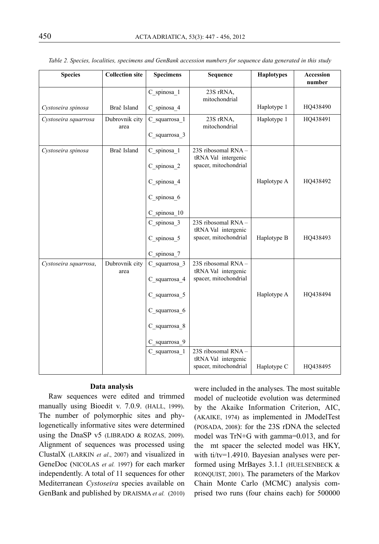| <b>Species</b>        | <b>Collection site</b> | <b>Specimens</b>                                                                                   | Sequence                                                            | <b>Haplotypes</b> | Accession<br>number |
|-----------------------|------------------------|----------------------------------------------------------------------------------------------------|---------------------------------------------------------------------|-------------------|---------------------|
|                       |                        | C spinosa 1                                                                                        | 23S rRNA,<br>mitochondrial                                          |                   |                     |
| Cystoseira spinosa    | Brač Island            | C spinosa 4                                                                                        |                                                                     | Haplotype 1       | HQ438490            |
| Cystoseira squarrosa  | Dubrovnik city<br>area | C squarrosa 1<br>C squarrosa 3                                                                     | 23S rRNA,<br>mitochondrial                                          | Haplotype 1       | HQ438491            |
| Cystoseira spinosa    | Brač Island            | C spinosa 1<br>C spinosa 2                                                                         | 23S ribosomal RNA -<br>tRNA Val intergenic<br>spacer, mitochondrial |                   |                     |
|                       |                        | C spinosa 4<br>C spinosa 6                                                                         |                                                                     | Haplotype A       | HQ438492            |
|                       |                        | C_spinosa_10                                                                                       |                                                                     |                   |                     |
|                       |                        | C spinosa 3<br>C spinosa 5<br>C spinosa 7                                                          | 23S ribosomal RNA-<br>tRNA Val intergenic<br>spacer, mitochondrial  | Haplotype B       | HQ438493            |
| Cystoseira squarrosa, | Dubrovnik city<br>area | C squarrosa 3<br>C squarrosa 4<br>C squarrosa 5<br>C squarrosa 6<br>C squarrosa 8<br>C squarrosa 9 | 23S ribosomal RNA-<br>tRNA Val intergenic<br>spacer, mitochondrial  | Haplotype A       | HQ438494            |
|                       |                        | C squarrosa_1                                                                                      | 23S ribosomal RNA -<br>tRNA Val intergenic<br>spacer, mitochondrial | Haplotype C       | HQ438495            |

*Table 2. Species, localities, specimens and GenBank accession numbers for sequence data generated in this study*

#### **Data analysis**

Raw sequences were edited and trimmed manually using Bioedit v. 7.0.9. (HALL, 1999). The number of polymorphic sites and phylogenetically informative sites were determined using the DnaSP v5 (LIBRADO & ROZAS, 2009). Alignment of sequences was processed using ClustalX (LARKIN *et al*., 2007) and visualized in GeneDoc (NICOLAS *et al.* 1997) for each marker independently. A total of 11 sequences for other Mediterranean *Cystoseira* species available on GenBank and published by DRAISMA *et al.* (2010)

were included in the analyses. The most suitable model of nucleotide evolution was determined by the Akaike Information Criterion, AIC, (AKAIKE, 1974) as implemented in JModelTest (POSADA, 2008): for the 23S rDNA the selected model was TrN+G with gamma=0.013, and for the mt spacer the selected model was HKY, with ti/tv=1.4910. Bayesian analyses were performed using MrBayes 3.1.1 (HUELSENBECK & RONQUIST, 2001). The parameters of the Markov Chain Monte Carlo (MCMC) analysis comprised two runs (four chains each) for 500000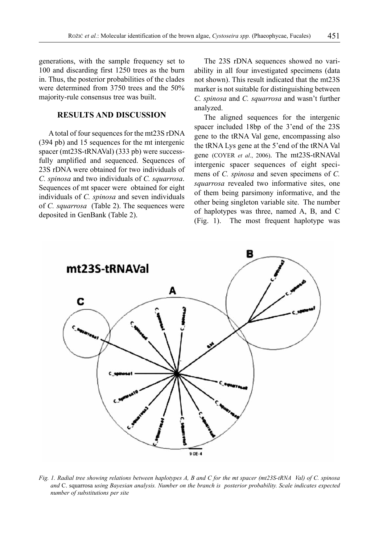generations, with the sample frequency set to 100 and discarding first 1250 trees as the burn in. Thus, the posterior probabilities of the clades were determined from 3750 trees and the 50% majority-rule consensus tree was built.

#### **RESULTS AND DISCUSSION**

A total of four sequences for the mt23S rDNA (394 pb) and 15 sequences for the mt intergenic spacer (mt23S-tRNAVal) (333 pb) were successfully amplified and sequenced. Sequences of 23S rDNA were obtained for two individuals of *C. spinosa* and two individuals of *C. squarrosa*. Sequences of mt spacer were obtained for eight individuals of *C. spinosa* and seven individuals of *C. squarrosa* (Table 2). The sequences were deposited in GenBank (Table 2).

The 23S rDNA sequences showed no variability in all four investigated specimens (data not shown). This result indicated that the mt23S marker is not suitable for distinguishing between *C. spinosa* and *C. squarrosa* and wasn't further analyzed.

The aligned sequences for the intergenic spacer included 18bp of the 3'end of the 23S gene to the tRNA Val gene, encompassing also the tRNA Lys gene at the 5'end of the tRNA Val gene (COYER *et al*., 2006). The mt23S-tRNAVal intergenic spacer sequences of eight specimens of *C. spinosa* and seven specimens of *C. squarrosa* revealed two informative sites, one of them being parsimony informative, and the other being singleton variable site. The number of haplotypes was three, named A, B, and C (Fig. 1). The most frequent haplotype was



*Fig. 1. Radial tree showing relations between haplotypes A, B and C for the mt spacer (mt23S-tRNA Val) of C. spinosa and* C. squarrosa *using Bayesian analysis. Number on the branch is posterior probability. Scale indicates expected number of substitutions per site*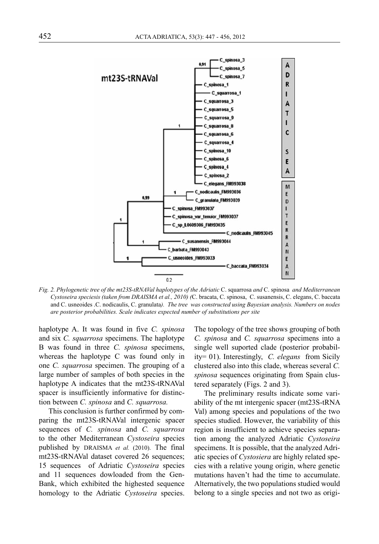

*Fig. 2. Phylogenetic tree of the mt23S-tRNAVal haplotypes of the Adriatic* C. squarrosa *and* C. spinosa *and Mediterranean Cystoseira speciesis (taken from DRAISMA et al., 2010) (*C. bracata, C. spinosa, C. susanensis, C. elegans, C. baccata and C. usneoides .C. nodicaulis, C. granulata*). The tree was constructed using Bayesian analysis. Numbers on nodes are posterior probabilities. Scale indicates expected number of substitutions per site*

haplotype A. It was found in five *C. spinosa*  and six *C. squarrosa* specimens. The haplotype B was found in three *C. spinosa* specimens, whereas the haplotype C was found only in one *C. squarrosa* specimen. The grouping of a large number of samples of both species in the haplotype A indicates that the mt23S-tRNAVal spacer is insufficiently informative for distinction between *C. spinosa* and *C. squarrosa.*

This conclusion is further confirmed by comparing the mt23S-tRNAVal intergenic spacer sequences of *C. spinosa* and *C. squarrosa* to the other Mediterranean *Cystoseira* species published by DRAISMA *et al.* (2010). The final mt23S-tRNAVal dataset covered 26 sequences; 15 sequences of Adriatic *Cystoseira* species and 11 sequences dowloaded from the Gen-Bank, which exhibited the highested sequence homology to the Adriatic *Cystoseira* species.

The topology of the tree shows grouping of both *C. spinosa* and *C. squarrosa* specimens into a single well suported clade (posterior probability= 01). Interestingly, *C. elegans* from Sicily clustered also into this clade, whereas several *C. spinosa* sequences originating from Spain clustered separately (Figs. 2 and 3).

The preliminary results indicate some variability of the mt intergenic spacer (mt23S-tRNA Val) among species and populations of the two species studied. However, the variability of this region is insufficient to achieve species separation among the analyzed Adriatic *Cystoseira* specimens. It is possible, that the analyzed Adriatic species of *Cystosiera* are highly related species with a relative young origin, where genetic mutations haven't had the time to accumulate. Alternatively, the two populations studied would belong to a single species and not two as origi-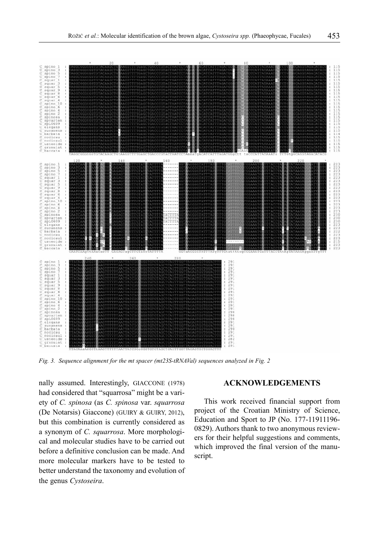

*Fig. 3. Sequence alignment for the mt spacer (mt23S-tRNAVal) sequences analyzed in Fig. 2*

nally assumed. Interestingly, GIACCONE (1978) had considered that "squarrosa" might be a variety of *C. spinosa* (as *C. spinosa* var. *squarrosa* (De Notarsis) Giaccone) (GUIRY & GUIRY, 2012), but this combination is currently considered as a synonym of *C. squarrosa*. More morphological and molecular studies have to be carried out before a definitive conclusion can be made. And more molecular markers have to be tested to better understand the taxonomy and evolution of the genus *Cystoseira*.

#### **ACKNOWLEDGEMENTS**

This work received financial support from project of the Croatian Ministry of Science, Education and Sport to JP (No. 177-11911196- 0829). Authors thank to two anonymous reviewers for their helpful suggestions and comments, which improved the final version of the manuscript.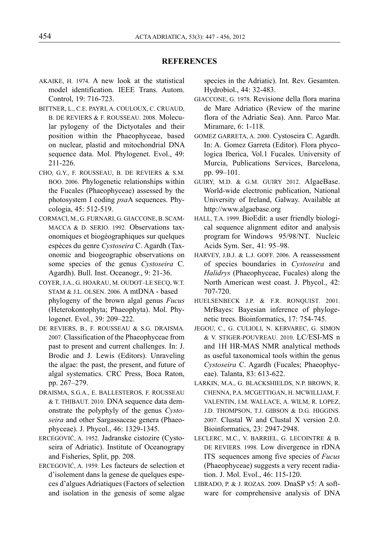#### **REFERENCES**

- AKAIKE, H. 1974. A new look at the statistical model identification. IEEE Trans. Autom. Control, 19: 716-723.
- BITTNER, L., C.E. PAYRI, A. COULOUX, C. CRUAUD, B. DE REVIERS & F. ROUSSEAU. 2008. Molecular pylogeny of the Dictyotales and their position within the Phaeophyceae, based on nuclear, plastid and mitochondrial DNA sequence data. Mol. Phylogenet. Evol., 49: 211-226.
- CHO, G.Y., F. ROUSSEAU, B. DE REVIERS & S.M. BOO. 2006. Phylogenetic relationships within the Fucales (Phaeophyceae) assessed by the photosystem I coding *psa*A sequences. Phycologia, 45: 512-519.
- CORMACI, M., G. FURNARI, G. GIACCONE, B. SCAM-MACCA & D. SERIO. 1992. Observations taxonomiques et biogéographiques sur quelques espéces du genre *Cystoseira* C. Agardh (Taxonomic and biogeographic observations on some species of the genus *Cystoseira* C. Agardh). Bull. Inst. Oceanogr., 9: 21-36.
- COYER, J.A., G. HOARAU, M. OUDOT–LE SECQ, W.T. STAM & J.L. OLSEN. 2006. A mtDNA - based phylogeny of the brown algal genus *Fucus* (Heterokontophyta; Phaeophyta). Mol. Phylogenet. Evol., 39: 209–222.
- DE REVIERS, B., F. ROUSSEAU & S.G. DRAISMA. 2007. Classification of the Phaeophyceae from past to present and current challenges. In: J. Brodie and J. Lewis (Editors). Unraveling the algae: the past, the present, and future of algal systematics. CRC Press, Boca Raton, pp. 267–279.
- DRAISMA, S.G.A., E. BALLESTEROS, F. ROUSSEAU & T. THIBAUT. 2010. DNA sequence data demonstrate the polyphyly of the genus *Cystoseira* and other Sargassaceae genera (Phaeophyceae). J. Phycol., 46: 1329-1345.
- ERCEGOVIĆ, A. 1952. Jadranske cistozire (Cystoseira of Adriatic). Institute of Oceanograpy and Fisheries, Split, pp. 208.
- ERCEGOVIĆ, A. 1959. Les facteurs de selection et d'isolement dans la genese de quelques especes d'algues Adriatiques (Factors of selection and isolation in the genesis of some algae

species in the Adriatic). Int. Rev. Gesamten. Hydrobiol., 44: 32-483.

- GIACCONE, G. 1978. Revisione della flora marina de Mare Adriatico (Review of the marine flora of the Adriatic Sea). Ann. Parco Mar. Miramare, 6: 1-118.
- GOMEZ GARRETA, A. 2000. Cystoseira C. Agardh. In: A. Gomez Garreta (Editor). Flora phycologica Iberica, Vol.1 Fucales. University of Murcia, Publications Services, Barcelona, pp. 99–101.
- GUIRY, M.D. & G.M. GUIRY 2012. AlgaeBase. World-wide electronic publication, National University of Ireland, Galway. Available at http://www.algaebase.org
- HALL, T.A. 1999. BioEdit: a user friendly biological sequence alignment editor and analysis program for Windows 95/98/NT. Nucleic Acids Sym. Ser.*,* 41: 95–98.
- HARVEY, J.B.J. & L.J. GOFF. 2006. A reassessment of species boundaries in *Cystoseira* and *Halidrys* (Phaeophyceae, Fucales) along the North American west coast. J. Phycol., 42: 707-720.
- HUELSENBECK J.P. & F.R. RONQUIST. 2001. MrBayes: Bayesian inference of phylogenetic trees. Bioinformatics, 17: 754-745.
- JEGOU, C., G. CULIOLI, N. KERVAREC, G. SIMON & V. STIGER-POUVREAU. 2010. LC/ESI-MS n and 1H HR-MAS NMR analytical methods as useful taxonomical tools within the genus *Cystoseira* C. Agardh (Fucales; Phaeophyceae). Talanta, 83: 613-622.
- LARKIN, M.A., G. BLACKSHIELDS, N.P. BROWN, R. CHENNA, P.A. MCGETTIGAN, H. MCWILLIAM, F. VALENTIN, I.M. WALLACE, A. WILM, R. LOPEZ, J.D. THOMPSON, T.J. GIBSON & D.G. HIGGINS. 2007. Clustal W and Clustal X version 2.0. Bioinformatics, 23: 2947-2948.
- LECLERC, M.C., V. BARRIEL, G. LECOINTRE & B. DE REVIERS. 1998. Low divergence in rDNA ITS sequences among five species of *Fucus*  (Phaeophyceae) suggests a very recent radiation. J. Mol. Evol., 46: 115-120.
- LIBRADO, P. & J. ROZAS. 2009. DnaSP v5: A software for comprehensive analysis of DNA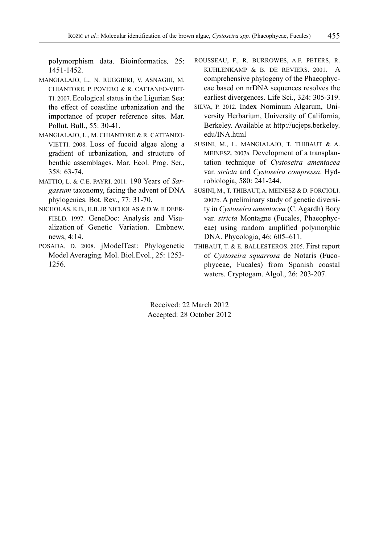polymorphism data. Bioinformatics*,* 25: 1451-1452.

- MANGIALAJO, L., N. RUGGIERI, V. ASNAGHI, M. CHIANTORE, P. POVERO & R. CATTANEO-VIET-TI. 2007. Ecological status in the Ligurian Sea: the effect of coastline urbanization and the importance of proper reference sites. Mar. Pollut. Bull., 55: 30-41.
- MANGIALAJO, L., M. CHIANTORE & R. CATTANEO-VIETTI. 2008. Loss of fucoid algae along a gradient of urbanization, and structure of benthic assemblages. Mar. Ecol. Prog. Ser.,  $358 \cdot 63 - 74$
- MATTIO, L. & C.E. PAYRI. 2011. 190 Years of *Sargassum* taxonomy, facing the advent of DNA phylogenies. Bot. Rev., 77: 31-70.
- NICHOLAS, K.B., H.B. JR NICHOLAS & D.W. II DEER-FIELD. 1997. GeneDoc: Analysis and Visualization of Genetic Variation. Embnew. news, 4:14.
- POSADA, D. 2008. jModelTest: Phylogenetic Model Averaging. Mol. Biol.Evol., 25: 1253- 1256.
- ROUSSEAU, F., R. BURROWES, A.F. PETERS, R. KUHLENKAMP & B. DE REVIERS. 2001. A comprehensive phylogeny of the Phaeophyceae based on nrDNA sequences resolves the earliest divergences. Life Sci., 324: 305-319.
- SILVA, P. 2012. Index Nominum Algarum, University Herbarium, University of California, Berkeley. Available at http://ucjeps.berkeley. edu/INA.html
- SUSINI, M., L. MANGIALAJO, T. THIBAUT & A. MEINESZ. 2007a. Development of a transplantation technique of *Cystoseira amentacea*  var. *stricta* and *Cystoseira compressa*. Hydrobiologia, 580: 241-244.
- SUSINI, M., T. THIBAUT, A. MEINESZ & D. FORCIOLI. 2007b. A preliminary study of genetic diversity in *Cystoseira amentacea* (C. Agardh) Bory var. *stricta* Montagne (Fucales, Phaeophyceae) using random amplified polymorphic DNA. Phycologia, 46: 605–611.
- THIBAUT, T. & E. BALLESTEROS. 2005. First report of *Cystoseira squarrosa* de Notaris (Fucophyceae, Fucales) from Spanish coastal waters. Cryptogam. Algol., 26: 203-207.

Received: 22 March 2012 Accepted: 28 October 2012